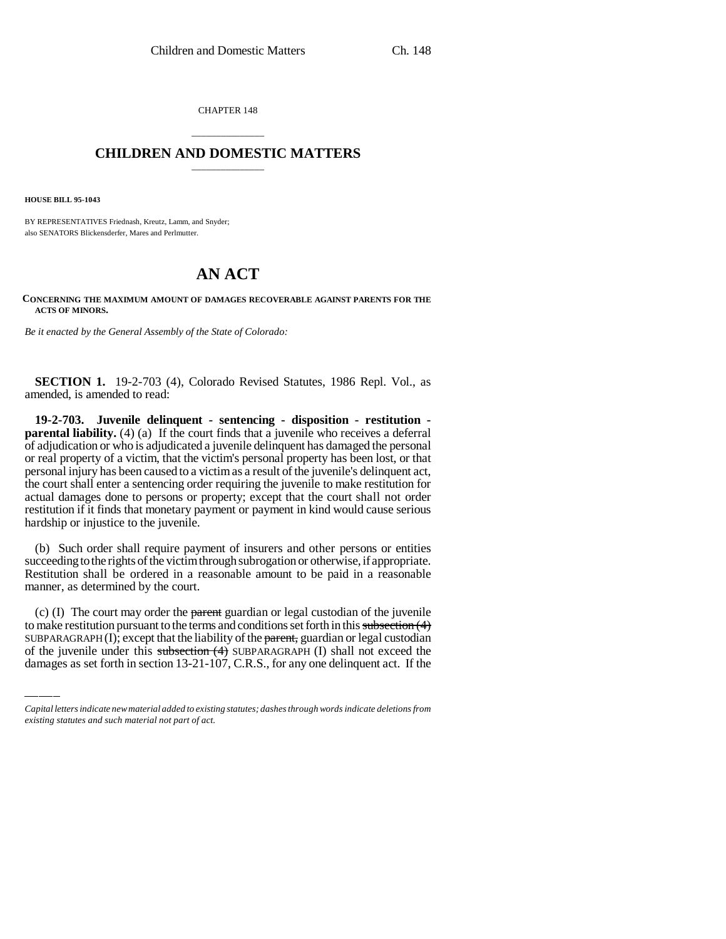CHAPTER 148

## \_\_\_\_\_\_\_\_\_\_\_\_\_\_\_ **CHILDREN AND DOMESTIC MATTERS** \_\_\_\_\_\_\_\_\_\_\_\_\_\_\_

**HOUSE BILL 95-1043**

BY REPRESENTATIVES Friednash, Kreutz, Lamm, and Snyder; also SENATORS Blickensderfer, Mares and Perlmutter.

## **AN ACT**

## **CONCERNING THE MAXIMUM AMOUNT OF DAMAGES RECOVERABLE AGAINST PARENTS FOR THE ACTS OF MINORS.**

*Be it enacted by the General Assembly of the State of Colorado:*

**SECTION 1.** 19-2-703 (4), Colorado Revised Statutes, 1986 Repl. Vol., as amended, is amended to read:

**19-2-703. Juvenile delinquent - sentencing - disposition - restitution parental liability.** (4) (a) If the court finds that a juvenile who receives a deferral of adjudication or who is adjudicated a juvenile delinquent has damaged the personal or real property of a victim, that the victim's personal property has been lost, or that personal injury has been caused to a victim as a result of the juvenile's delinquent act, the court shall enter a sentencing order requiring the juvenile to make restitution for actual damages done to persons or property; except that the court shall not order restitution if it finds that monetary payment or payment in kind would cause serious hardship or injustice to the juvenile.

(b) Such order shall require payment of insurers and other persons or entities succeeding to the rights of the victim through subrogation or otherwise, if appropriate. Restitution shall be ordered in a reasonable amount to be paid in a reasonable manner, as determined by the court.

(c) (I) The court may order the parent guardian or legal custodian of the juvenile to make restitution pursuant to the terms and conditions set forth in this subsection (4) SUBPARAGRAPH $(I)$ ; except that the liability of the parent, guardian or legal custodian of the juvenile under this subsection (4) SUBPARAGRAPH (I) shall not exceed the damages as set forth in section 13-21-107, C.R.S., for any one delinquent act. If the

*Capital letters indicate new material added to existing statutes; dashes through words indicate deletions from existing statutes and such material not part of act.*